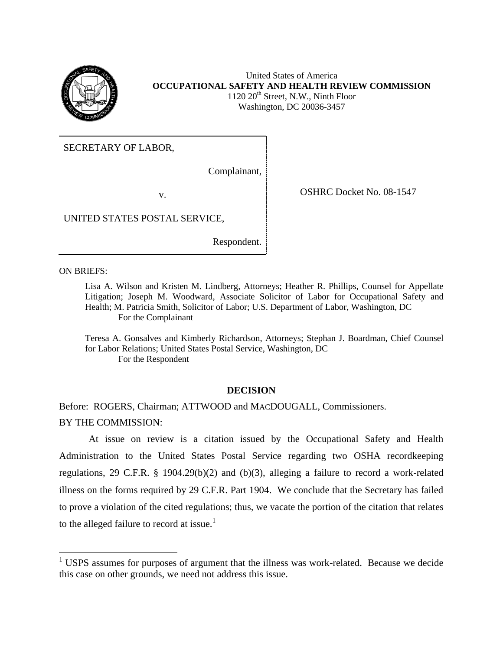

United States of America **OCCUPATIONAL SAFETY AND HEALTH REVIEW COMMISSION**  $1120 20<sup>th</sup>$  Street, N.W., Ninth Floor Washington, DC 20036-3457

SECRETARY OF LABOR,

Complainant,

v. COSHRC Docket No. 08-1547

UNITED STATES POSTAL SERVICE,

Respondent.

ON BRIEFS:

 $\overline{\phantom{a}}$ 

Lisa A. Wilson and Kristen M. Lindberg, Attorneys; Heather R. Phillips, Counsel for Appellate Litigation; Joseph M. Woodward, Associate Solicitor of Labor for Occupational Safety and Health; M. Patricia Smith, Solicitor of Labor; U.S. Department of Labor, Washington, DC For the Complainant

Teresa A. Gonsalves and Kimberly Richardson, Attorneys; Stephan J. Boardman, Chief Counsel for Labor Relations; United States Postal Service, Washington, DC For the Respondent

### **DECISION**

Before: ROGERS, Chairman; ATTWOOD and MACDOUGALL, Commissioners. BY THE COMMISSION:

At issue on review is a citation issued by the Occupational Safety and Health Administration to the United States Postal Service regarding two OSHA recordkeeping regulations, 29 C.F.R. § 1904.29(b)(2) and (b)(3), alleging a failure to record a work-related illness on the forms required by 29 C.F.R. Part 1904. We conclude that the Secretary has failed to prove a violation of the cited regulations; thus, we vacate the portion of the citation that relates to the alleged failure to record at issue.<sup>1</sup>

<sup>&</sup>lt;sup>1</sup> USPS assumes for purposes of argument that the illness was work-related. Because we decide this case on other grounds, we need not address this issue.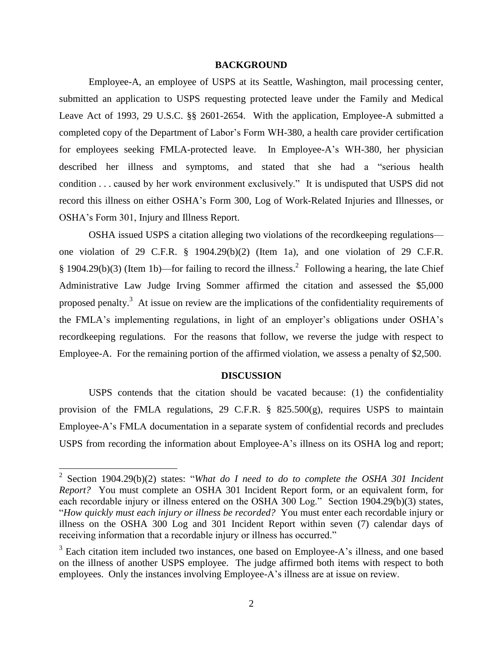### **BACKGROUND**

Employee-A, an employee of USPS at its Seattle, Washington, mail processing center, submitted an application to USPS requesting protected leave under the Family and Medical Leave Act of 1993, 29 U.S.C. §§ 2601-2654. With the application, Employee-A submitted a completed copy of the Department of Labor's Form WH-380, a health care provider certification for employees seeking FMLA-protected leave. In Employee-A's WH-380, her physician described her illness and symptoms, and stated that she had a "serious health condition . . . caused by her work environment exclusively." It is undisputed that USPS did not record this illness on either OSHA's Form 300, Log of Work-Related Injuries and Illnesses, or OSHA's Form 301, Injury and Illness Report.

OSHA issued USPS a citation alleging two violations of the recordkeeping regulations one violation of 29 C.F.R. § 1904.29(b)(2) (Item 1a), and one violation of 29 C.F.R.  $§$  1904.29(b)(3) (Item 1b)—for failing to record the illness.<sup>2</sup> Following a hearing, the late Chief Administrative Law Judge Irving Sommer affirmed the citation and assessed the \$5,000 proposed penalty.<sup>3</sup> At issue on review are the implications of the confidentiality requirements of the FMLA's implementing regulations, in light of an employer's obligations under OSHA's recordkeeping regulations. For the reasons that follow, we reverse the judge with respect to Employee-A. For the remaining portion of the affirmed violation, we assess a penalty of \$2,500.

#### **DISCUSSION**

USPS contends that the citation should be vacated because: (1) the confidentiality provision of the FMLA regulations, 29 C.F.R. § 825.500(g), requires USPS to maintain Employee-A's FMLA documentation in a separate system of confidential records and precludes USPS from recording the information about Employee-A's illness on its OSHA log and report;

 2 Section 1904.29(b)(2) states: "*What do I need to do to complete the OSHA 301 Incident Report?* You must complete an OSHA 301 Incident Report form, or an equivalent form, for each recordable injury or illness entered on the OSHA 300 Log." Section 1904.29(b)(3) states, "*How quickly must each injury or illness be recorded?* You must enter each recordable injury or illness on the OSHA 300 Log and 301 Incident Report within seven (7) calendar days of receiving information that a recordable injury or illness has occurred."

<sup>&</sup>lt;sup>3</sup> Each citation item included two instances, one based on Employee-A's illness, and one based on the illness of another USPS employee. The judge affirmed both items with respect to both employees. Only the instances involving Employee-A's illness are at issue on review.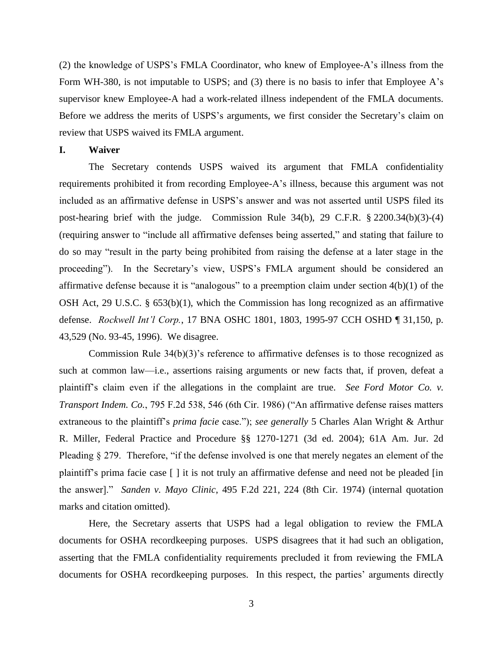(2) the knowledge of USPS's FMLA Coordinator, who knew of Employee-A's illness from the Form WH-380, is not imputable to USPS; and (3) there is no basis to infer that Employee A's supervisor knew Employee-A had a work-related illness independent of the FMLA documents. Before we address the merits of USPS's arguments, we first consider the Secretary's claim on review that USPS waived its FMLA argument.

#### **I. Waiver**

The Secretary contends USPS waived its argument that FMLA confidentiality requirements prohibited it from recording Employee-A's illness, because this argument was not included as an affirmative defense in USPS's answer and was not asserted until USPS filed its post-hearing brief with the judge. Commission Rule 34(b), 29 C.F.R. § 2200.34(b)(3)-(4) (requiring answer to "include all affirmative defenses being asserted," and stating that failure to do so may "result in the party being prohibited from raising the defense at a later stage in the proceeding"). In the Secretary's view, USPS's FMLA argument should be considered an affirmative defense because it is "analogous" to a preemption claim under section 4(b)(1) of the OSH Act, 29 U.S.C. § 653(b)(1), which the Commission has long recognized as an affirmative defense. *Rockwell Int'l Corp.*, 17 BNA OSHC 1801, 1803, 1995-97 CCH OSHD ¶ 31,150, p. 43,529 (No. 93-45, 1996). We disagree.

Commission Rule 34(b)(3)'s reference to affirmative defenses is to those recognized as such at common law—i.e., assertions raising arguments or new facts that, if proven, defeat a plaintiff's claim even if the allegations in the complaint are true. *See Ford Motor Co. v. Transport Indem. Co.*, 795 F.2d 538, 546 (6th Cir. 1986) ("An affirmative defense raises matters extraneous to the plaintiff's *prima facie* case."); *see generally* 5 Charles Alan Wright & Arthur R. Miller, Federal Practice and Procedure §§ 1270-1271 (3d ed. 2004); 61A Am. Jur. 2d Pleading § 279. Therefore, "if the defense involved is one that merely negates an element of the plaintiff's prima facie case [ ] it is not truly an affirmative defense and need not be pleaded [in the answer]." *Sanden v. Mayo Clinic*, 495 F.2d 221, 224 (8th Cir. 1974) (internal quotation marks and citation omitted).

Here, the Secretary asserts that USPS had a legal obligation to review the FMLA documents for OSHA recordkeeping purposes. USPS disagrees that it had such an obligation, asserting that the FMLA confidentiality requirements precluded it from reviewing the FMLA documents for OSHA recordkeeping purposes. In this respect, the parties' arguments directly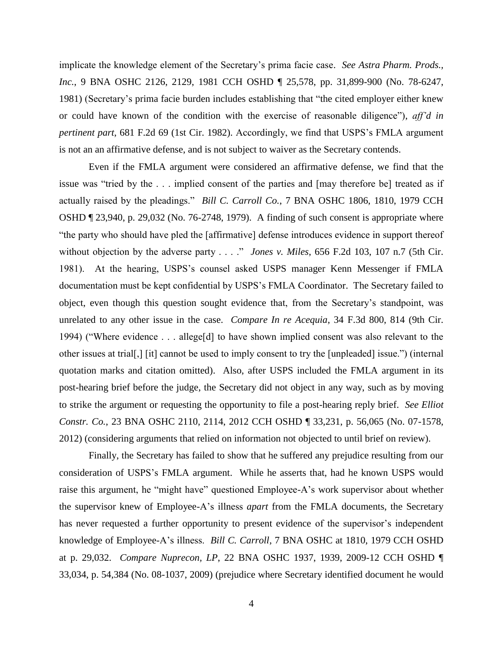implicate the knowledge element of the Secretary's prima facie case. *See Astra Pharm. Prods., Inc.*, 9 BNA OSHC 2126, 2129, 1981 CCH OSHD ¶ 25,578, pp. 31,899-900 (No. 78-6247, 1981) (Secretary's prima facie burden includes establishing that "the cited employer either knew or could have known of the condition with the exercise of reasonable diligence"), *aff'd in pertinent part*, 681 F.2d 69 (1st Cir. 1982). Accordingly, we find that USPS's FMLA argument is not an an affirmative defense, and is not subject to waiver as the Secretary contends.

Even if the FMLA argument were considered an affirmative defense, we find that the issue was "tried by the . . . implied consent of the parties and [may therefore be] treated as if actually raised by the pleadings." *Bill C. Carroll Co.*, 7 BNA OSHC 1806, 1810, 1979 CCH OSHD ¶ 23,940, p. 29,032 (No. 76-2748, 1979). A finding of such consent is appropriate where "the party who should have pled the [affirmative] defense introduces evidence in support thereof without objection by the adverse party . . . ." *Jones v. Miles*, 656 F.2d 103, 107 n.7 (5th Cir. 1981). At the hearing, USPS's counsel asked USPS manager Kenn Messenger if FMLA documentation must be kept confidential by USPS's FMLA Coordinator. The Secretary failed to object, even though this question sought evidence that, from the Secretary's standpoint, was unrelated to any other issue in the case. *Compare In re Acequia*, 34 F.3d 800, 814 (9th Cir. 1994) ("Where evidence . . . allege[d] to have shown implied consent was also relevant to the other issues at trial[,] [it] cannot be used to imply consent to try the [unpleaded] issue.") (internal quotation marks and citation omitted). Also, after USPS included the FMLA argument in its post-hearing brief before the judge, the Secretary did not object in any way, such as by moving to strike the argument or requesting the opportunity to file a post-hearing reply brief. *See Elliot Constr. Co.*, 23 BNA OSHC 2110, 2114, 2012 CCH OSHD ¶ 33,231, p. 56,065 (No. 07-1578, 2012) (considering arguments that relied on information not objected to until brief on review).

Finally, the Secretary has failed to show that he suffered any prejudice resulting from our consideration of USPS's FMLA argument. While he asserts that, had he known USPS would raise this argument, he "might have" questioned Employee-A's work supervisor about whether the supervisor knew of Employee-A's illness *apart* from the FMLA documents, the Secretary has never requested a further opportunity to present evidence of the supervisor's independent knowledge of Employee-A's illness. *Bill C. Carroll*, 7 BNA OSHC at 1810, 1979 CCH OSHD at p. 29,032. *Compare Nuprecon, LP*, 22 BNA OSHC 1937, 1939, 2009-12 CCH OSHD ¶ 33,034, p. 54,384 (No. 08-1037, 2009) (prejudice where Secretary identified document he would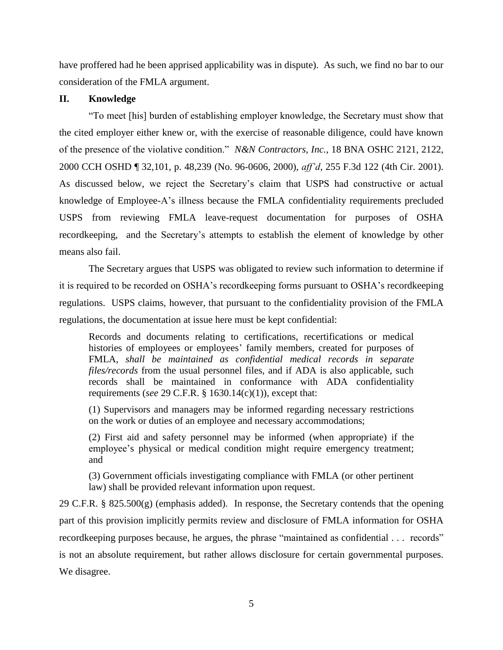have proffered had he been apprised applicability was in dispute). As such, we find no bar to our consideration of the FMLA argument.

## **II. Knowledge**

"To meet [his] burden of establishing employer knowledge, the Secretary must show that the cited employer either knew or, with the exercise of reasonable diligence, could have known of the presence of the violative condition." *N&N Contractors, Inc.*, 18 BNA OSHC 2121, 2122, 2000 CCH OSHD ¶ 32,101, p. 48,239 (No. 96-0606, 2000), *aff'd*, 255 F.3d 122 (4th Cir. 2001). As discussed below, we reject the Secretary's claim that USPS had constructive or actual knowledge of Employee-A's illness because the FMLA confidentiality requirements precluded USPS from reviewing FMLA leave-request documentation for purposes of OSHA recordkeeping, and the Secretary's attempts to establish the element of knowledge by other means also fail.

The Secretary argues that USPS was obligated to review such information to determine if it is required to be recorded on OSHA's recordkeeping forms pursuant to OSHA's recordkeeping regulations. USPS claims, however, that pursuant to the confidentiality provision of the FMLA regulations, the documentation at issue here must be kept confidential:

Records and documents relating to certifications, recertifications or medical histories of employees or employees' family members, created for purposes of FMLA, *shall be maintained as confidential medical records in separate files/records* from the usual personnel files, and if ADA is also applicable, such records shall be maintained in conformance with ADA confidentiality requirements (*see* 29 C.F.R. § 1630.14(c)(1)), except that:

(1) Supervisors and managers may be informed regarding necessary restrictions on the work or duties of an employee and necessary accommodations;

(2) First aid and safety personnel may be informed (when appropriate) if the employee's physical or medical condition might require emergency treatment; and

(3) Government officials investigating compliance with FMLA (or other pertinent law) shall be provided relevant information upon request.

29 C.F.R. § 825.500 $(g)$  (emphasis added). In response, the Secretary contends that the opening part of this provision implicitly permits review and disclosure of FMLA information for OSHA recordkeeping purposes because, he argues, the phrase "maintained as confidential . . . records" is not an absolute requirement, but rather allows disclosure for certain governmental purposes. We disagree.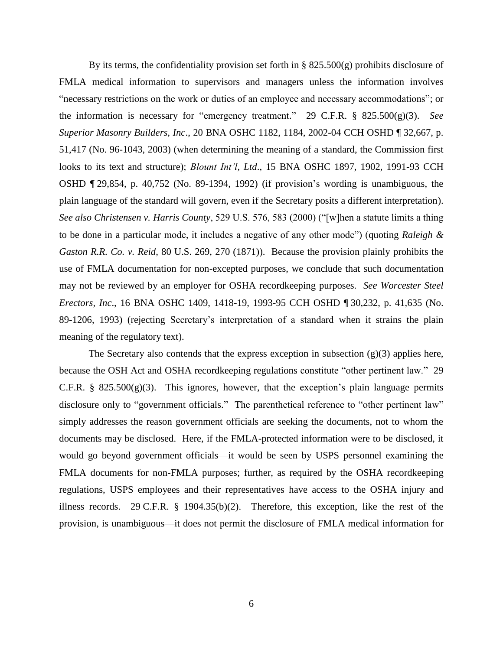By its terms, the confidentiality provision set forth in  $\S$  825.500 $(g)$  prohibits disclosure of FMLA medical information to supervisors and managers unless the information involves "necessary restrictions on the work or duties of an employee and necessary accommodations"; or the information is necessary for "emergency treatment." 29 C.F.R. § 825.500(g)(3). *See Superior Masonry Builders, Inc*., 20 BNA OSHC 1182, 1184, 2002-04 CCH OSHD ¶ 32,667, p. 51,417 (No. 96-1043, 2003) (when determining the meaning of a standard, the Commission first looks to its text and structure); *Blount Int'l, Ltd*., 15 BNA OSHC 1897, 1902, 1991-93 CCH OSHD ¶ 29,854, p. 40,752 (No. 89-1394, 1992) (if provision's wording is unambiguous, the plain language of the standard will govern, even if the Secretary posits a different interpretation). *See also Christensen v. Harris County*, 529 U.S. 576, 583 (2000) ("[w]hen a statute limits a thing to be done in a particular mode, it includes a negative of any other mode") (quoting *Raleigh & Gaston R.R. Co. v. Reid*, 80 U.S. 269, 270 (1871)). Because the provision plainly prohibits the use of FMLA documentation for non-excepted purposes, we conclude that such documentation may not be reviewed by an employer for OSHA recordkeeping purposes. *See Worcester Steel Erectors, Inc*., 16 BNA OSHC 1409, 1418-19, 1993-95 CCH OSHD ¶ 30,232, p. 41,635 (No. 89-1206, 1993) (rejecting Secretary's interpretation of a standard when it strains the plain meaning of the regulatory text).

The Secretary also contends that the express exception in subsection  $(g)(3)$  applies here, because the OSH Act and OSHA recordkeeping regulations constitute "other pertinent law." 29 C.F.R. §  $825.500(g)(3)$ . This ignores, however, that the exception's plain language permits disclosure only to "government officials." The parenthetical reference to "other pertinent law" simply addresses the reason government officials are seeking the documents, not to whom the documents may be disclosed. Here, if the FMLA-protected information were to be disclosed, it would go beyond government officials—it would be seen by USPS personnel examining the FMLA documents for non-FMLA purposes; further, as required by the OSHA recordkeeping regulations, USPS employees and their representatives have access to the OSHA injury and illness records. 29 C.F.R. § 1904.35(b)(2). Therefore, this exception, like the rest of the provision, is unambiguous—it does not permit the disclosure of FMLA medical information for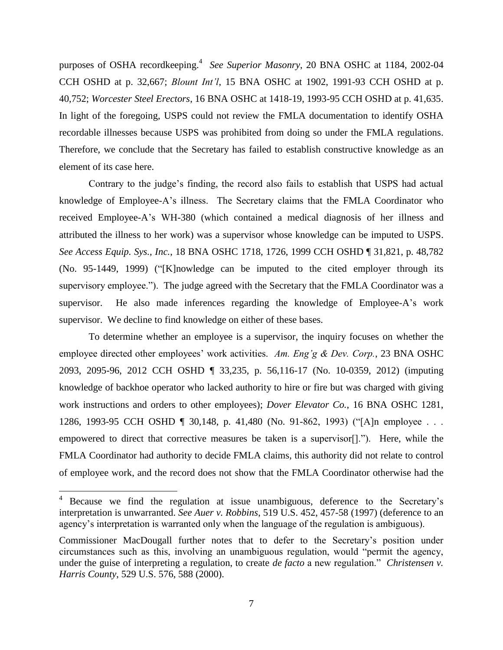purposes of OSHA recordkeeping. 4 *See Superior Masonry*, 20 BNA OSHC at 1184, 2002-04 CCH OSHD at p. 32,667; *Blount Int'l*, 15 BNA OSHC at 1902, 1991-93 CCH OSHD at p. 40,752; *Worcester Steel Erectors*, 16 BNA OSHC at 1418-19, 1993-95 CCH OSHD at p. 41,635. In light of the foregoing, USPS could not review the FMLA documentation to identify OSHA recordable illnesses because USPS was prohibited from doing so under the FMLA regulations. Therefore, we conclude that the Secretary has failed to establish constructive knowledge as an element of its case here.

Contrary to the judge's finding, the record also fails to establish that USPS had actual knowledge of Employee-A's illness. The Secretary claims that the FMLA Coordinator who received Employee-A's WH-380 (which contained a medical diagnosis of her illness and attributed the illness to her work) was a supervisor whose knowledge can be imputed to USPS. *See Access Equip. Sys., Inc.*, 18 BNA OSHC 1718, 1726, 1999 CCH OSHD ¶ 31,821, p. 48,782 (No. 95-1449, 1999) ("[K]nowledge can be imputed to the cited employer through its supervisory employee."). The judge agreed with the Secretary that the FMLA Coordinator was a supervisor. He also made inferences regarding the knowledge of Employee-A's work supervisor. We decline to find knowledge on either of these bases.

To determine whether an employee is a supervisor, the inquiry focuses on whether the employee directed other employees' work activities. *Am. Eng'g & Dev. Corp.*, 23 BNA OSHC 2093, 2095-96, 2012 CCH OSHD ¶ 33,235, p. 56,116-17 (No. 10-0359, 2012) (imputing knowledge of backhoe operator who lacked authority to hire or fire but was charged with giving work instructions and orders to other employees); *Dover Elevator Co.*, 16 BNA OSHC 1281, 1286, 1993-95 CCH OSHD ¶ 30,148, p. 41,480 (No. 91-862, 1993) ("[A]n employee . . . empowered to direct that corrective measures be taken is a supervisor[]."). Here, while the FMLA Coordinator had authority to decide FMLA claims, this authority did not relate to control of employee work, and the record does not show that the FMLA Coordinator otherwise had the

 $\overline{\phantom{a}}$ 

Because we find the regulation at issue unambiguous, deference to the Secretary's interpretation is unwarranted. *See Auer v. Robbins*, 519 U.S. 452, 457-58 (1997) (deference to an agency's interpretation is warranted only when the language of the regulation is ambiguous).

Commissioner MacDougall further notes that to defer to the Secretary's position under circumstances such as this, involving an unambiguous regulation, would "permit the agency, under the guise of interpreting a regulation, to create *de facto* a new regulation." *Christensen v. Harris County*, 529 U.S. 576, 588 (2000).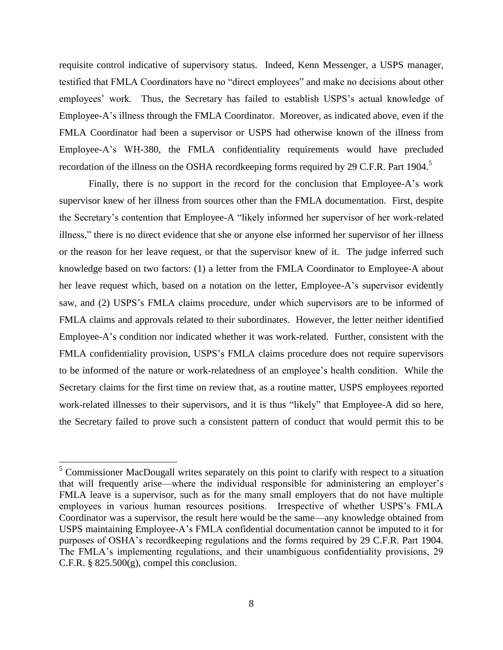requisite control indicative of supervisory status. Indeed, Kenn Messenger, a USPS manager, testified that FMLA Coordinators have no "direct employees" and make no decisions about other employees' work. Thus, the Secretary has failed to establish USPS's actual knowledge of Employee-A's illness through the FMLA Coordinator. Moreover, as indicated above, even if the FMLA Coordinator had been a supervisor or USPS had otherwise known of the illness from Employee-A's WH-380, the FMLA confidentiality requirements would have precluded recordation of the illness on the OSHA recordkeeping forms required by 29 C.F.R. Part 1904.<sup>5</sup>

Finally, there is no support in the record for the conclusion that Employee-A's work supervisor knew of her illness from sources other than the FMLA documentation. First, despite the Secretary's contention that Employee-A "likely informed her supervisor of her work-related illness," there is no direct evidence that she or anyone else informed her supervisor of her illness or the reason for her leave request, or that the supervisor knew of it. The judge inferred such knowledge based on two factors: (1) a letter from the FMLA Coordinator to Employee-A about her leave request which, based on a notation on the letter, Employee-A's supervisor evidently saw, and (2) USPS's FMLA claims procedure, under which supervisors are to be informed of FMLA claims and approvals related to their subordinates. However, the letter neither identified Employee-A's condition nor indicated whether it was work-related. Further, consistent with the FMLA confidentiality provision, USPS's FMLA claims procedure does not require supervisors to be informed of the nature or work-relatedness of an employee's health condition. While the Secretary claims for the first time on review that, as a routine matter, USPS employees reported work-related illnesses to their supervisors, and it is thus "likely" that Employee-A did so here, the Secretary failed to prove such a consistent pattern of conduct that would permit this to be

l

 $5$  Commissioner MacDougall writes separately on this point to clarify with respect to a situation that will frequently arise—where the individual responsible for administering an employer's FMLA leave is a supervisor, such as for the many small employers that do not have multiple employees in various human resources positions. Irrespective of whether USPS's FMLA Coordinator was a supervisor, the result here would be the same—any knowledge obtained from USPS maintaining Employee-A's FMLA confidential documentation cannot be imputed to it for purposes of OSHA's recordkeeping regulations and the forms required by 29 C.F.R. Part 1904. The FMLA's implementing regulations, and their unambiguous confidentiality provisions, 29 C.F.R.  $\S$  825.500 $(g)$ , compel this conclusion.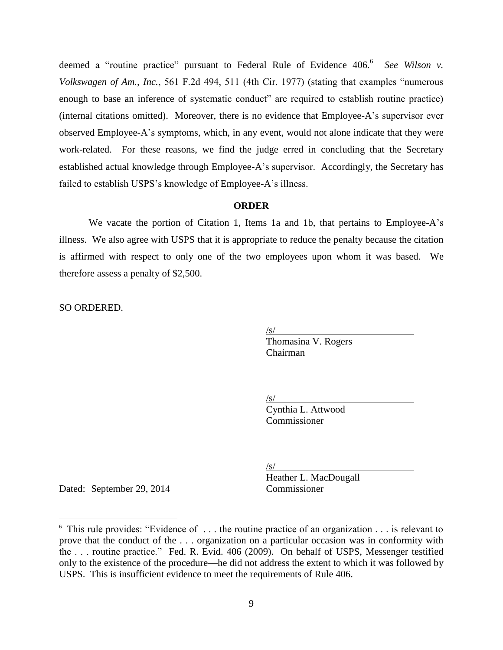deemed a "routine practice" pursuant to Federal Rule of Evidence 406.<sup>6</sup> See Wilson v. *Volkswagen of Am., Inc.*, 561 F.2d 494, 511 (4th Cir. 1977) (stating that examples "numerous enough to base an inference of systematic conduct" are required to establish routine practice) (internal citations omitted). Moreover, there is no evidence that Employee-A's supervisor ever observed Employee-A's symptoms, which, in any event, would not alone indicate that they were work-related. For these reasons, we find the judge erred in concluding that the Secretary established actual knowledge through Employee-A's supervisor. Accordingly, the Secretary has failed to establish USPS's knowledge of Employee-A's illness.

#### **ORDER**

We vacate the portion of Citation 1, Items 1a and 1b, that pertains to Employee-A's illness. We also agree with USPS that it is appropriate to reduce the penalty because the citation is affirmed with respect to only one of the two employees upon whom it was based. We therefore assess a penalty of \$2,500.

SO ORDERED.

 $\sqrt{s/}$ 

Thomasina V. Rogers Chairman

 $\sqrt{s/}$ 

Cynthia L. Attwood Commissioner

 $\sqrt{s/}$ 

Dated: September 29, 2014 Commissioner

 $\overline{\phantom{a}}$ 

Heather L. MacDougall

<sup>&</sup>lt;sup>6</sup> This rule provides: "Evidence of ... the routine practice of an organization ... is relevant to prove that the conduct of the . . . organization on a particular occasion was in conformity with the . . . routine practice." Fed. R. Evid. 406 (2009). On behalf of USPS, Messenger testified only to the existence of the procedure—he did not address the extent to which it was followed by USPS. This is insufficient evidence to meet the requirements of Rule 406.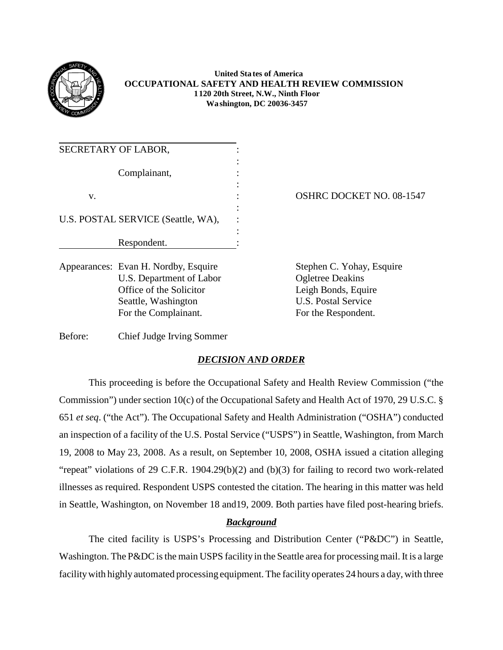

## **United Sta tes of America OCCUPATIONAL SAFETY AND HEALTH REVIEW COMMISSION 1120 20th Street, N.W., Ninth Floor Wa shington, DC 20036-3457**

| SECRETARY OF LABOR,                  |                                 |
|--------------------------------------|---------------------------------|
| Complainant,                         |                                 |
| V.                                   | <b>OSHRC DOCKET NO. 08-1547</b> |
| U.S. POSTAL SERVICE (Seattle, WA),   |                                 |
| Respondent.                          |                                 |
| Appearances: Evan H. Nordby, Esquire | Stephen C. Yohay, Esquire       |

U.S. Department of Labor Ogletree Deakins Office of the Solicitor Leigh Bonds, Equire Seattle, Washington U.S. Postal Service For the Complainant. For the Respondent.

Before: Chief Judge Irving Sommer

# *DECISION AND ORDER*

This proceeding is before the Occupational Safety and Health Review Commission ("the Commission") under section 10(c) of the Occupational Safety and Health Act of 1970, 29 U.S.C. § 651 *et seq*. ("the Act"). The Occupational Safety and Health Administration ("OSHA") conducted an inspection of a facility of the U.S. Postal Service ("USPS") in Seattle, Washington, from March 19, 2008 to May 23, 2008. As a result, on September 10, 2008, OSHA issued a citation alleging "repeat" violations of 29 C.F.R. 1904.29(b)(2) and (b)(3) for failing to record two work-related illnesses as required. Respondent USPS contested the citation. The hearing in this matter was held in Seattle, Washington, on November 18 and19, 2009. Both parties have filed post-hearing briefs.

# *Background*

The cited facility is USPS's Processing and Distribution Center ("P&DC") in Seattle, Washington. The P&DC is the main USPS facility in the Seattle area for processing mail. It is a large facilitywith highly automated processing equipment. The facility operates 24 hours a day, with three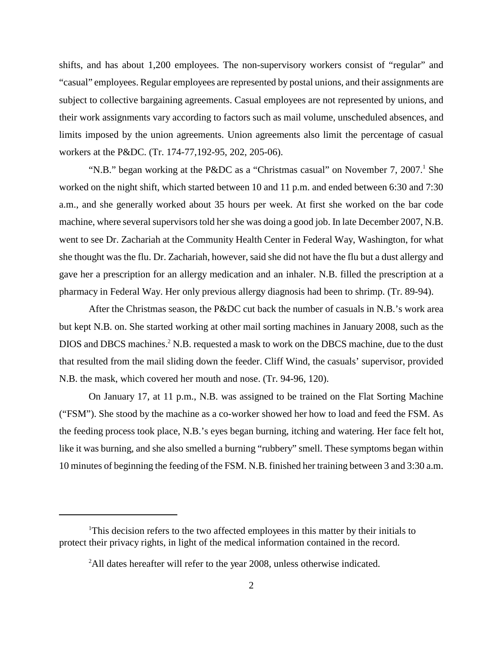shifts, and has about 1,200 employees. The non-supervisory workers consist of "regular" and "casual" employees. Regular employees are represented by postal unions, and their assignments are subject to collective bargaining agreements. Casual employees are not represented by unions, and their work assignments vary according to factors such as mail volume, unscheduled absences, and limits imposed by the union agreements. Union agreements also limit the percentage of casual workers at the P&DC. (Tr. 174-77,192-95, 202, 205-06).

"N.B." began working at the P&DC as a "Christmas casual" on November 7, 2007.<sup>1</sup> She worked on the night shift, which started between 10 and 11 p.m. and ended between 6:30 and 7:30 a.m., and she generally worked about 35 hours per week. At first she worked on the bar code machine, where several supervisors told her she was doing a good job. In late December 2007, N.B. went to see Dr. Zachariah at the Community Health Center in Federal Way, Washington, for what she thought was the flu. Dr. Zachariah, however, said she did not have the flu but a dust allergy and gave her a prescription for an allergy medication and an inhaler. N.B. filled the prescription at a pharmacy in Federal Way. Her only previous allergy diagnosis had been to shrimp. (Tr. 89-94).

After the Christmas season, the P&DC cut back the number of casuals in N.B.'s work area but kept N.B. on. She started working at other mail sorting machines in January 2008, such as the DIOS and DBCS machines.<sup>2</sup> N.B. requested a mask to work on the DBCS machine, due to the dust that resulted from the mail sliding down the feeder. Cliff Wind, the casuals' supervisor, provided N.B. the mask, which covered her mouth and nose. (Tr. 94-96, 120).

On January 17, at 11 p.m., N.B. was assigned to be trained on the Flat Sorting Machine ("FSM"). She stood by the machine as a co-worker showed her how to load and feed the FSM. As the feeding process took place, N.B.'s eyes began burning, itching and watering. Her face felt hot, like it was burning, and she also smelled a burning "rubbery" smell. These symptoms began within 10 minutes of beginning the feeding of the FSM. N.B. finished her training between 3 and 3:30 a.m.

<sup>&</sup>lt;sup>1</sup>This decision refers to the two affected employees in this matter by their initials to protect their privacy rights, in light of the medical information contained in the record.

<sup>&</sup>lt;sup>2</sup>All dates hereafter will refer to the year 2008, unless otherwise indicated.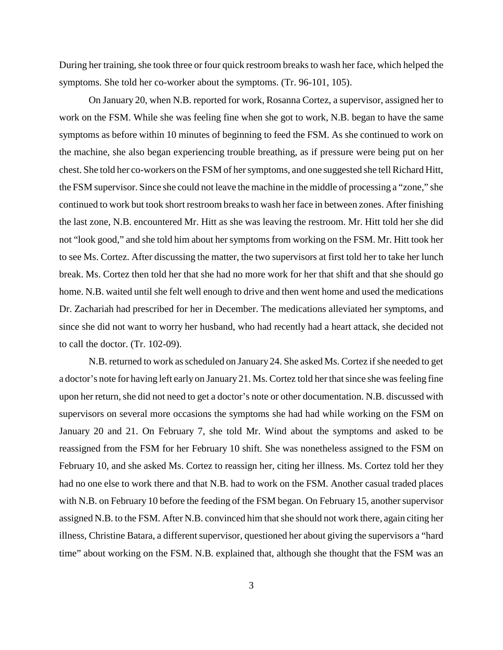During her training, she took three or four quick restroom breaks to wash her face, which helped the symptoms. She told her co-worker about the symptoms. (Tr. 96-101, 105).

On January 20, when N.B. reported for work, Rosanna Cortez, a supervisor, assigned her to work on the FSM. While she was feeling fine when she got to work, N.B. began to have the same symptoms as before within 10 minutes of beginning to feed the FSM. As she continued to work on the machine, she also began experiencing trouble breathing, as if pressure were being put on her chest. She told her co-workers on the FSM of her symptoms, and one suggested she tell Richard Hitt, the FSM supervisor. Since she could not leave the machine in the middle of processing a "zone," she continued to work but took short restroom breaks to wash her face in between zones. After finishing the last zone, N.B. encountered Mr. Hitt as she was leaving the restroom. Mr. Hitt told her she did not "look good," and she told him about her symptoms from working on the FSM. Mr. Hitt took her to see Ms. Cortez. After discussing the matter, the two supervisors at first told her to take her lunch break. Ms. Cortez then told her that she had no more work for her that shift and that she should go home. N.B. waited until she felt well enough to drive and then went home and used the medications Dr. Zachariah had prescribed for her in December. The medications alleviated her symptoms, and since she did not want to worry her husband, who had recently had a heart attack, she decided not to call the doctor. (Tr. 102-09).

N.B. returned to work as scheduled on January 24. She asked Ms. Cortez if she needed to get a doctor's note for having left early on January 21. Ms. Cortez told her that since she was feeling fine upon her return, she did not need to get a doctor's note or other documentation. N.B. discussed with supervisors on several more occasions the symptoms she had had while working on the FSM on January 20 and 21. On February 7, she told Mr. Wind about the symptoms and asked to be reassigned from the FSM for her February 10 shift. She was nonetheless assigned to the FSM on February 10, and she asked Ms. Cortez to reassign her, citing her illness. Ms. Cortez told her they had no one else to work there and that N.B. had to work on the FSM. Another casual traded places with N.B. on February 10 before the feeding of the FSM began. On February 15, another supervisor assigned N.B. to the FSM. After N.B. convinced him that she should not work there, again citing her illness, Christine Batara, a different supervisor, questioned her about giving the supervisors a "hard time" about working on the FSM. N.B. explained that, although she thought that the FSM was an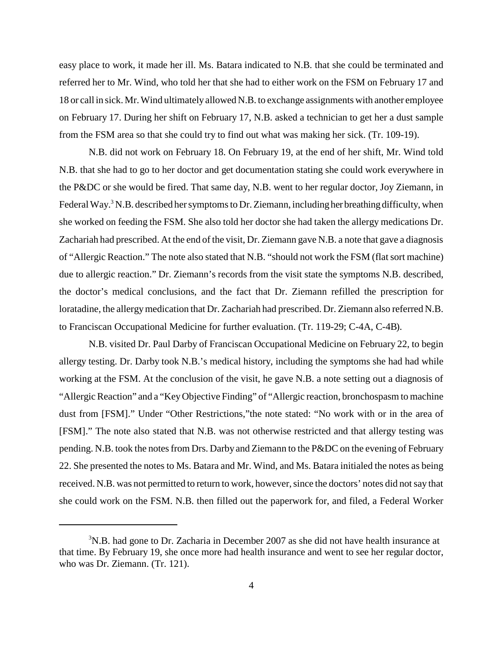easy place to work, it made her ill. Ms. Batara indicated to N.B. that she could be terminated and referred her to Mr. Wind, who told her that she had to either work on the FSM on February 17 and 18 or call in sick. Mr. Wind ultimatelyallowed N.B. to exchange assignments with another employee on February 17. During her shift on February 17, N.B. asked a technician to get her a dust sample from the FSM area so that she could try to find out what was making her sick. (Tr. 109-19).

N.B. did not work on February 18. On February 19, at the end of her shift, Mr. Wind told N.B. that she had to go to her doctor and get documentation stating she could work everywhere in the P&DC or she would be fired. That same day, N.B. went to her regular doctor, Joy Ziemann, in Federal Way.<sup>3</sup> N.B. described her symptoms to Dr. Ziemann, including her breathing difficulty, when she worked on feeding the FSM. She also told her doctor she had taken the allergy medications Dr. Zachariah had prescribed. At the end of the visit, Dr. Ziemann gave N.B. a note that gave a diagnosis of "Allergic Reaction." The note also stated that N.B. "should not work the FSM (flat sort machine) due to allergic reaction." Dr. Ziemann's records from the visit state the symptoms N.B. described, the doctor's medical conclusions, and the fact that Dr. Ziemann refilled the prescription for loratadine, the allergy medication that Dr. Zachariah had prescribed. Dr. Ziemann also referred N.B. to Franciscan Occupational Medicine for further evaluation. (Tr. 119-29; C-4A, C-4B).

N.B. visited Dr. Paul Darby of Franciscan Occupational Medicine on February 22, to begin allergy testing. Dr. Darby took N.B.'s medical history, including the symptoms she had had while working at the FSM. At the conclusion of the visit, he gave N.B. a note setting out a diagnosis of "Allergic Reaction" and a "KeyObjective Finding" of "Allergic reaction, bronchospasm to machine dust from [FSM]." Under "Other Restrictions,"the note stated: "No work with or in the area of [FSM]." The note also stated that N.B. was not otherwise restricted and that allergy testing was pending. N.B. took the notes from Drs. Darby and Ziemann to the P&DC on the evening of February 22. She presented the notes to Ms. Batara and Mr. Wind, and Ms. Batara initialed the notes as being received. N.B. was not permitted to return to work, however, since the doctors' notes did not say that she could work on the FSM. N.B. then filled out the paperwork for, and filed, a Federal Worker

 $3N.B.$  had gone to Dr. Zacharia in December 2007 as she did not have health insurance at that time. By February 19, she once more had health insurance and went to see her regular doctor, who was Dr. Ziemann. (Tr. 121).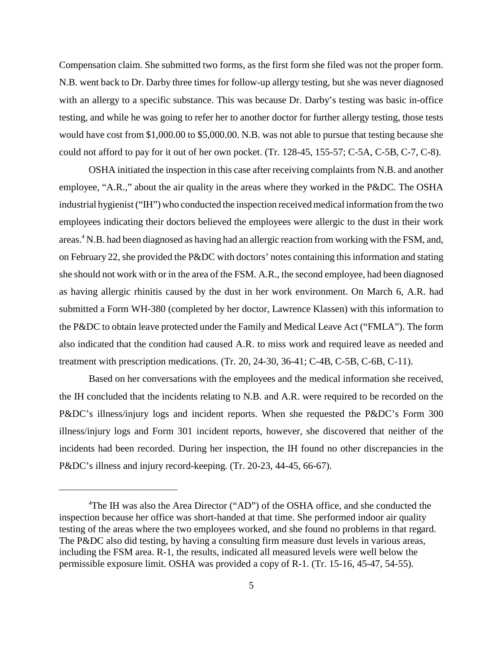Compensation claim. She submitted two forms, as the first form she filed was not the proper form. N.B. went back to Dr. Darby three times for follow-up allergy testing, but she was never diagnosed with an allergy to a specific substance. This was because Dr. Darby's testing was basic in-office testing, and while he was going to refer her to another doctor for further allergy testing, those tests would have cost from \$1,000.00 to \$5,000.00. N.B. was not able to pursue that testing because she could not afford to pay for it out of her own pocket. (Tr. 128-45, 155-57; C-5A, C-5B, C-7, C-8).

OSHA initiated the inspection in this case after receiving complaints from N.B. and another employee, "A.R.," about the air quality in the areas where they worked in the P&DC. The OSHA industrial hygienist ("IH") who conducted the inspection received medical information from the two employees indicating their doctors believed the employees were allergic to the dust in their work areas.<sup>4</sup> N.B. had been diagnosed as having had an allergic reaction from working with the FSM, and, on February 22, she provided the P&DC with doctors' notes containing this information and stating she should not work with or in the area of the FSM. A.R., the second employee, had been diagnosed as having allergic rhinitis caused by the dust in her work environment. On March 6, A.R. had submitted a Form WH-380 (completed by her doctor, Lawrence Klassen) with this information to the P&DC to obtain leave protected under the Family and Medical Leave Act ("FMLA"). The form also indicated that the condition had caused A.R. to miss work and required leave as needed and treatment with prescription medications. (Tr. 20, 24-30, 36-41; C-4B, C-5B, C-6B, C-11).

Based on her conversations with the employees and the medical information she received, the IH concluded that the incidents relating to N.B. and A.R. were required to be recorded on the P&DC's illness/injury logs and incident reports. When she requested the P&DC's Form 300 illness/injury logs and Form 301 incident reports, however, she discovered that neither of the incidents had been recorded. During her inspection, the IH found no other discrepancies in the P&DC's illness and injury record-keeping. (Tr. 20-23, 44-45, 66-67).

<sup>&</sup>lt;sup>4</sup>The IH was also the Area Director ("AD") of the OSHA office, and she conducted the inspection because her office was short-handed at that time. She performed indoor air quality testing of the areas where the two employees worked, and she found no problems in that regard. The P&DC also did testing, by having a consulting firm measure dust levels in various areas, including the FSM area. R-1, the results, indicated all measured levels were well below the permissible exposure limit. OSHA was provided a copy of R-1. (Tr. 15-16, 45-47, 54-55).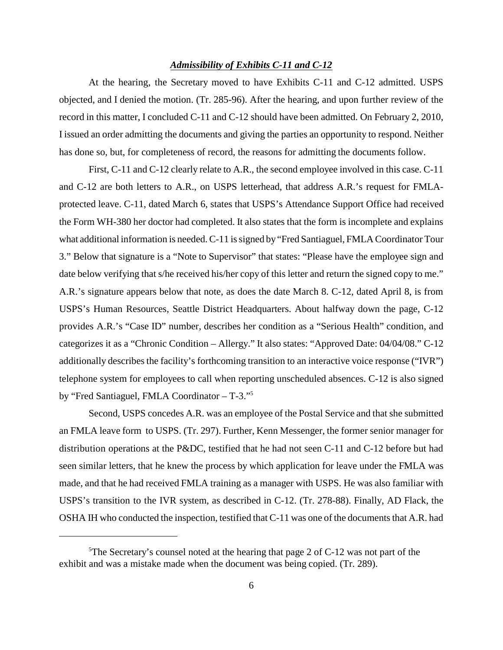#### *Admissibility of Exhibits C-11 and C-12*

At the hearing, the Secretary moved to have Exhibits C-11 and C-12 admitted. USPS objected, and I denied the motion. (Tr. 285-96). After the hearing, and upon further review of the record in this matter, I concluded C-11 and C-12 should have been admitted. On February 2, 2010, I issued an order admitting the documents and giving the parties an opportunity to respond. Neither has done so, but, for completeness of record, the reasons for admitting the documents follow.

First, C-11 and C-12 clearly relate to A.R., the second employee involved in this case. C-11 and C-12 are both letters to A.R., on USPS letterhead, that address A.R.'s request for FMLAprotected leave. C-11, dated March 6, states that USPS's Attendance Support Office had received the Form WH-380 her doctor had completed. It also states that the form is incomplete and explains what additional information is needed. C-11 is signed by "Fred Santiaguel, FMLA Coordinator Tour 3." Below that signature is a "Note to Supervisor" that states: "Please have the employee sign and date below verifying that s/he received his/her copy of this letter and return the signed copy to me." A.R.'s signature appears below that note, as does the date March 8. C-12, dated April 8, is from USPS's Human Resources, Seattle District Headquarters. About halfway down the page, C-12 provides A.R.'s "Case ID" number, describes her condition as a "Serious Health" condition, and categorizes it as a "Chronic Condition – Allergy." It also states: "Approved Date: 04/04/08." C-12 additionally describes the facility's forthcoming transition to an interactive voice response ("IVR") telephone system for employees to call when reporting unscheduled absences. C-12 is also signed by "Fred Santiaguel, FMLA Coordinator – T-3."<sup>5</sup>

Second, USPS concedes A.R. was an employee of the Postal Service and that she submitted an FMLA leave form to USPS. (Tr. 297). Further, Kenn Messenger, the former senior manager for distribution operations at the P&DC, testified that he had not seen C-11 and C-12 before but had seen similar letters, that he knew the process by which application for leave under the FMLA was made, and that he had received FMLA training as a manager with USPS. He was also familiar with USPS's transition to the IVR system, as described in C-12. (Tr. 278-88). Finally, AD Flack, the OSHA IH who conducted the inspection, testified that C-11 was one of the documents that A.R. had

<sup>&</sup>lt;sup>5</sup>The Secretary's counsel noted at the hearing that page 2 of C-12 was not part of the exhibit and was a mistake made when the document was being copied. (Tr. 289).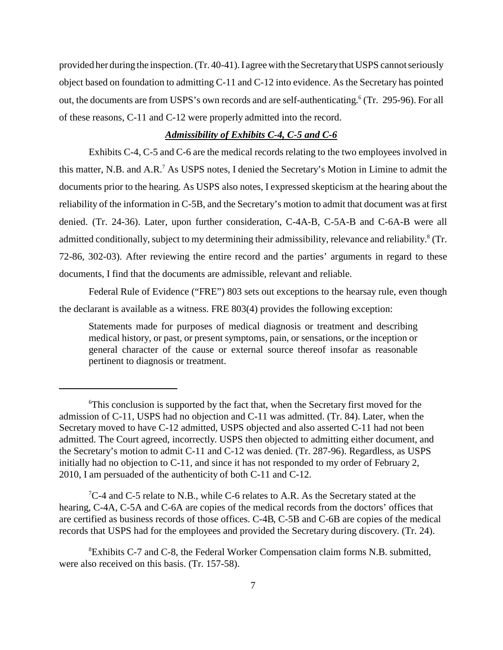provided her during the inspection. (Tr. 40-41). I agree with the Secretarythat USPS cannot seriously object based on foundation to admitting C-11 and C-12 into evidence. As the Secretary has pointed out, the documents are from USPS's own records and are self-authenticating.<sup>6</sup> (Tr. 295-96). For all of these reasons, C-11 and C-12 were properly admitted into the record.

## *Admissibility of Exhibits C-4, C-5 and C-6*

Exhibits C-4, C-5 and C-6 are the medical records relating to the two employees involved in this matter, N.B. and A.R.<sup>7</sup> As USPS notes, I denied the Secretary's Motion in Limine to admit the documents prior to the hearing. As USPS also notes, I expressed skepticism at the hearing about the reliability of the information in C-5B, and the Secretary's motion to admit that document was at first denied. (Tr. 24-36). Later, upon further consideration, C-4A-B, C-5A-B and C-6A-B were all admitted conditionally, subject to my determining their admissibility, relevance and reliability.<sup>8</sup> (Tr. 72-86, 302-03). After reviewing the entire record and the parties' arguments in regard to these documents, I find that the documents are admissible, relevant and reliable.

Federal Rule of Evidence ("FRE") 803 sets out exceptions to the hearsay rule, even though the declarant is available as a witness. FRE 803(4) provides the following exception:

Statements made for purposes of medical diagnosis or treatment and describing medical history, or past, or present symptoms, pain, or sensations, or the inception or general character of the cause or external source thereof insofar as reasonable pertinent to diagnosis or treatment.

 ${}^{7}C$ -4 and C-5 relate to N.B., while C-6 relates to A.R. As the Secretary stated at the hearing, C-4A, C-5A and C-6A are copies of the medical records from the doctors' offices that are certified as business records of those offices. C-4B, C-5B and C-6B are copies of the medical records that USPS had for the employees and provided the Secretary during discovery. (Tr. 24).

<sup>6</sup>This conclusion is supported by the fact that, when the Secretary first moved for the admission of C-11, USPS had no objection and C-11 was admitted. (Tr. 84). Later, when the Secretary moved to have C-12 admitted, USPS objected and also asserted C-11 had not been admitted. The Court agreed, incorrectly. USPS then objected to admitting either document, and the Secretary's motion to admit C-11 and C-12 was denied. (Tr. 287-96). Regardless, as USPS initially had no objection to C-11, and since it has not responded to my order of February 2, 2010, I am persuaded of the authenticity of both C-11 and C-12.

<sup>8</sup>Exhibits C-7 and C-8, the Federal Worker Compensation claim forms N.B. submitted, were also received on this basis. (Tr. 157-58).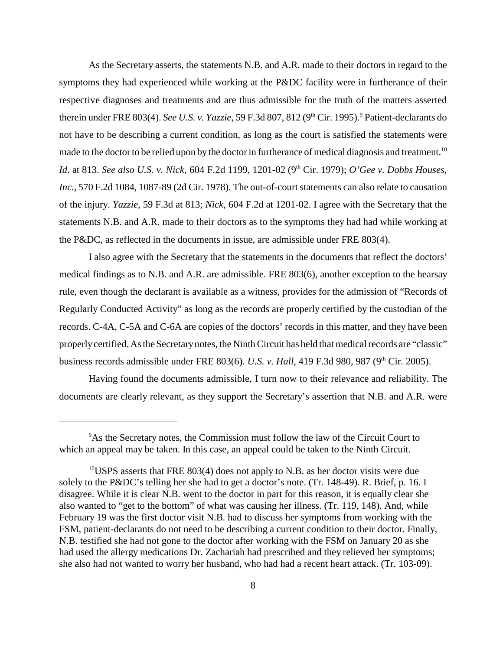As the Secretary asserts, the statements N.B. and A.R. made to their doctors in regard to the symptoms they had experienced while working at the P&DC facility were in furtherance of their respective diagnoses and treatments and are thus admissible for the truth of the matters asserted therein under FRE 803(4). *See U.S. v. Yazzie*, 59 F.3d 807, 812 (9<sup>th</sup> Cir. 1995).<sup>9</sup> Patient-declarants do not have to be describing a current condition, as long as the court is satisfied the statements were made to the doctor to be relied upon by the doctor in furtherance of medical diagnosis and treatment.<sup>10</sup> *Id.* at 813. *See also U.S. v. Nick,* 604 F.2d 1199, 1201-02 (9<sup>th</sup> Cir. 1979); *O'Gee v. Dobbs Houses, Inc.*, 570 F.2d 1084, 1087-89 (2d Cir. 1978). The out-of-court statements can also relate to causation of the injury. *Yazzie*, 59 F.3d at 813; *Nick*, 604 F.2d at 1201-02. I agree with the Secretary that the statements N.B. and A.R. made to their doctors as to the symptoms they had had while working at the P&DC, as reflected in the documents in issue, are admissible under FRE 803(4).

I also agree with the Secretary that the statements in the documents that reflect the doctors' medical findings as to N.B. and A.R. are admissible. FRE 803(6), another exception to the hearsay rule, even though the declarant is available as a witness, provides for the admission of "Records of Regularly Conducted Activity" as long as the records are properly certified by the custodian of the records. C-4A, C-5A and C-6A are copies of the doctors' records in this matter, and they have been properlycertified. As the Secretarynotes, the Ninth Circuit has held that medical records are "classic" business records admissible under FRE 803(6). *U.S. v. Hall*, 419 F.3d 980, 987 (9<sup>th</sup> Cir. 2005).

Having found the documents admissible, I turn now to their relevance and reliability. The documents are clearly relevant, as they support the Secretary's assertion that N.B. and A.R. were

<sup>&</sup>lt;sup>9</sup>As the Secretary notes, the Commission must follow the law of the Circuit Court to which an appeal may be taken. In this case, an appeal could be taken to the Ninth Circuit.

 $10^{\circ}$ USPS asserts that FRE 803(4) does not apply to N.B. as her doctor visits were due solely to the P&DC's telling her she had to get a doctor's note. (Tr. 148-49). R. Brief, p. 16. I disagree. While it is clear N.B. went to the doctor in part for this reason, it is equally clear she also wanted to "get to the bottom" of what was causing her illness. (Tr. 119, 148). And, while February 19 was the first doctor visit N.B. had to discuss her symptoms from working with the FSM, patient-declarants do not need to be describing a current condition to their doctor. Finally, N.B. testified she had not gone to the doctor after working with the FSM on January 20 as she had used the allergy medications Dr. Zachariah had prescribed and they relieved her symptoms; she also had not wanted to worry her husband, who had had a recent heart attack. (Tr. 103-09).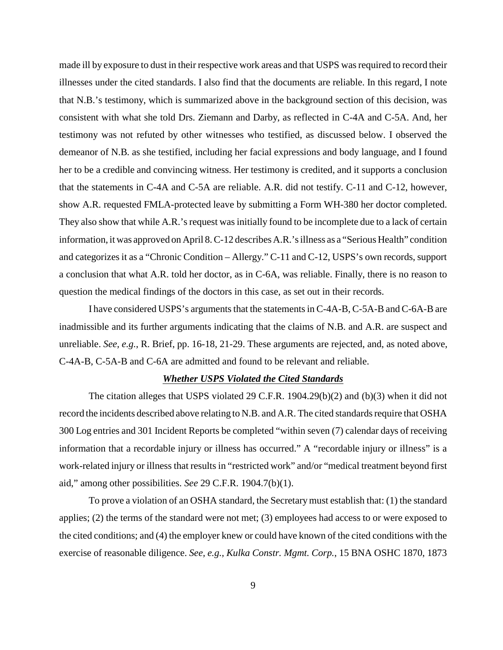made ill by exposure to dust in their respective work areas and that USPS was required to record their illnesses under the cited standards. I also find that the documents are reliable. In this regard, I note that N.B.'s testimony, which is summarized above in the background section of this decision, was consistent with what she told Drs. Ziemann and Darby, as reflected in C-4A and C-5A. And, her testimony was not refuted by other witnesses who testified, as discussed below. I observed the demeanor of N.B. as she testified, including her facial expressions and body language, and I found her to be a credible and convincing witness. Her testimony is credited, and it supports a conclusion that the statements in C-4A and C-5A are reliable. A.R. did not testify. C-11 and C-12, however, show A.R. requested FMLA-protected leave by submitting a Form WH-380 her doctor completed. They also show that while A.R.'s request was initially found to be incomplete due to a lack of certain information, it was approved on April 8. C-12 describes A.R.'s illness as a "Serious Health" condition and categorizes it as a "Chronic Condition – Allergy." C-11 and C-12, USPS's own records, support a conclusion that what A.R. told her doctor, as in C-6A, was reliable. Finally, there is no reason to question the medical findings of the doctors in this case, as set out in their records.

I have considered USPS's arguments that the statements in C-4A-B, C-5A-B and C-6A-B are inadmissible and its further arguments indicating that the claims of N.B. and A.R. are suspect and unreliable. *See, e.g.*, R. Brief, pp. 16-18, 21-29. These arguments are rejected, and, as noted above, C-4A-B, C-5A-B and C-6A are admitted and found to be relevant and reliable.

## *Whether USPS Violated the Cited Standards*

The citation alleges that USPS violated 29 C.F.R. 1904.29(b)(2) and (b)(3) when it did not record the incidents described above relating to N.B. and A.R. The cited standards require that OSHA 300 Log entries and 301 Incident Reports be completed "within seven (7) calendar days of receiving information that a recordable injury or illness has occurred." A "recordable injury or illness" is a work-related injury or illness that results in "restricted work" and/or "medical treatment beyond first aid," among other possibilities. *See* 29 C.F.R. 1904.7(b)(1).

To prove a violation of an OSHA standard, the Secretarymust establish that: (1) the standard applies; (2) the terms of the standard were not met; (3) employees had access to or were exposed to the cited conditions; and (4) the employer knew or could have known of the cited conditions with the exercise of reasonable diligence. *See, e.g., Kulka Constr. Mgmt. Corp.*, 15 BNA OSHC 1870, 1873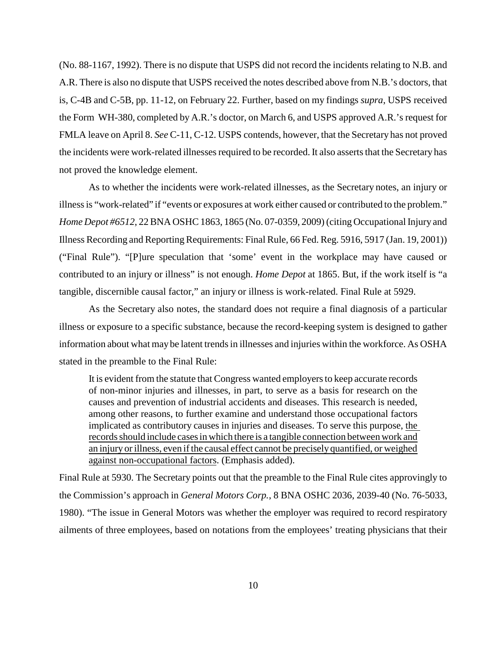(No. 88-1167, 1992). There is no dispute that USPS did not record the incidents relating to N.B. and A.R. There is also no dispute that USPS received the notes described above from N.B.'s doctors, that is, C-4B and C-5B, pp. 11-12, on February 22. Further, based on my findings *supra*, USPS received the Form WH-380, completed by A.R.'s doctor, on March 6, and USPS approved A.R.'s request for FMLA leave on April 8. *See* C-11, C-12. USPS contends, however, that the Secretary has not proved the incidents were work-related illnesses required to be recorded. It also asserts that the Secretary has not proved the knowledge element.

As to whether the incidents were work-related illnesses, as the Secretary notes, an injury or illness is "work-related" if "events or exposures at work either caused or contributed to the problem." *Home Depot #6512*, 22 BNA OSHC 1863, 1865 (No. 07-0359, 2009) (citing Occupational Injury and Illness Recording and Reporting Requirements: Final Rule, 66 Fed. Reg. 5916, 5917 (Jan. 19, 2001)) ("Final Rule"). "[P]ure speculation that 'some' event in the workplace may have caused or contributed to an injury or illness" is not enough. *Home Depot* at 1865. But, if the work itself is "a tangible, discernible causal factor," an injury or illness is work-related. Final Rule at 5929.

As the Secretary also notes, the standard does not require a final diagnosis of a particular illness or exposure to a specific substance, because the record-keeping system is designed to gather information about what may be latent trends in illnesses and injuries within the workforce. As OSHA stated in the preamble to the Final Rule:

It is evident from the statute that Congress wanted employers to keep accurate records of non-minor injuries and illnesses, in part, to serve as a basis for research on the causes and prevention of industrial accidents and diseases. This research is needed, among other reasons, to further examine and understand those occupational factors implicated as contributory causes in injuries and diseases. To serve this purpose, the records should include cases in which there is a tangible connection between work and an injury or illness, even if the causal effect cannot be precisely quantified, or weighed against non-occupational factors. (Emphasis added).

Final Rule at 5930. The Secretary points out that the preamble to the Final Rule cites approvingly to the Commission's approach in *General Motors Corp.*, 8 BNA OSHC 2036, 2039-40 (No. 76-5033, 1980). "The issue in General Motors was whether the employer was required to record respiratory ailments of three employees, based on notations from the employees' treating physicians that their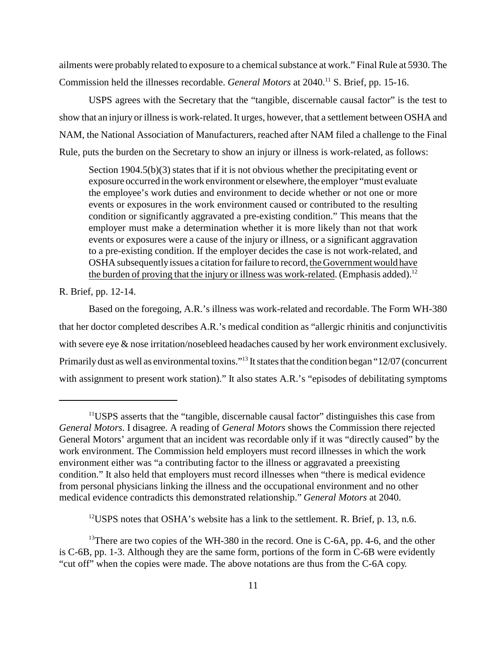ailments were probably related to exposure to a chemical substance at work." Final Rule at 5930. The Commission held the illnesses recordable. *General Motors* at 2040.<sup>11</sup> S. Brief, pp. 15-16.

USPS agrees with the Secretary that the "tangible, discernable causal factor" is the test to show that an injury or illness is work-related. It urges, however, that a settlement between OSHA and NAM, the National Association of Manufacturers, reached after NAM filed a challenge to the Final Rule, puts the burden on the Secretary to show an injury or illness is work-related, as follows:

Section 1904.5(b)(3) states that if it is not obvious whether the precipitating event or exposure occurred in the work environment or elsewhere, the employer "must evaluate the employee's work duties and environment to decide whether or not one or more events or exposures in the work environment caused or contributed to the resulting condition or significantly aggravated a pre-existing condition." This means that the employer must make a determination whether it is more likely than not that work events or exposures were a cause of the injury or illness, or a significant aggravation to a pre-existing condition. If the employer decides the case is not work-related, and OSHA subsequentlyissues a citation for failure to record, the Governmentwould have the burden of proving that the injury or illness was work-related. (Emphasis added).<sup>12</sup>

R. Brief, pp. 12-14.

Based on the foregoing, A.R.'s illness was work-related and recordable. The Form WH-380 that her doctor completed describes A.R.'s medical condition as "allergic rhinitis and conjunctivitis with severe eye & nose irritation/nosebleed headaches caused by her work environment exclusively. Primarily dust as well as environmental toxins."<sup>13</sup> It states that the condition began "12/07 (concurrent with assignment to present work station)." It also states A.R.'s "episodes of debilitating symptoms

<sup>12</sup>USPS notes that OSHA's website has a link to the settlement. R. Brief, p. 13, n.6.

<sup>11</sup>USPS asserts that the "tangible, discernable causal factor" distinguishes this case from *General Motors*. I disagree. A reading of *General Motors* shows the Commission there rejected General Motors' argument that an incident was recordable only if it was "directly caused" by the work environment. The Commission held employers must record illnesses in which the work environment either was "a contributing factor to the illness or aggravated a preexisting condition." It also held that employers must record illnesses when "there is medical evidence from personal physicians linking the illness and the occupational environment and no other medical evidence contradicts this demonstrated relationship." *General Motors* at 2040.

<sup>&</sup>lt;sup>13</sup>There are two copies of the WH-380 in the record. One is C-6A, pp. 4-6, and the other is C-6B, pp. 1-3. Although they are the same form, portions of the form in C-6B were evidently "cut off" when the copies were made. The above notations are thus from the C-6A copy.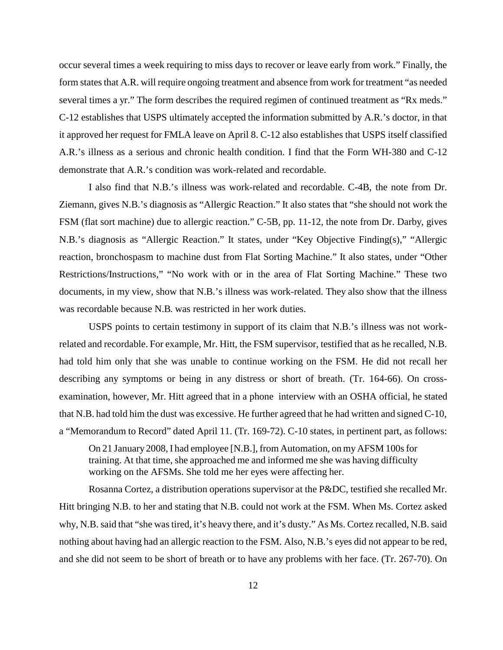occur several times a week requiring to miss days to recover or leave early from work." Finally, the form states that A.R. will require ongoing treatment and absence from work for treatment "as needed several times a yr." The form describes the required regimen of continued treatment as "Rx meds." C-12 establishes that USPS ultimately accepted the information submitted by A.R.'s doctor, in that it approved her request for FMLA leave on April 8. C-12 also establishes that USPS itself classified A.R.'s illness as a serious and chronic health condition. I find that the Form WH-380 and C-12 demonstrate that A.R.'s condition was work-related and recordable.

I also find that N.B.'s illness was work-related and recordable. C-4B, the note from Dr. Ziemann, gives N.B.'s diagnosis as "Allergic Reaction." It also states that "she should not work the FSM (flat sort machine) due to allergic reaction." C-5B, pp. 11-12, the note from Dr. Darby, gives N.B.'s diagnosis as "Allergic Reaction." It states, under "Key Objective Finding(s)," "Allergic reaction, bronchospasm to machine dust from Flat Sorting Machine." It also states, under "Other Restrictions/Instructions," "No work with or in the area of Flat Sorting Machine." These two documents, in my view, show that N.B.'s illness was work-related. They also show that the illness was recordable because N.B. was restricted in her work duties.

USPS points to certain testimony in support of its claim that N.B.'s illness was not workrelated and recordable. For example, Mr. Hitt, the FSM supervisor, testified that as he recalled, N.B. had told him only that she was unable to continue working on the FSM. He did not recall her describing any symptoms or being in any distress or short of breath. (Tr. 164-66). On crossexamination, however, Mr. Hitt agreed that in a phone interview with an OSHA official, he stated that N.B. had told him the dust was excessive. He further agreed that he had written and signed C-10, a "Memorandum to Record" dated April 11. (Tr. 169-72). C-10 states, in pertinent part, as follows:

On 21 January 2008, I had employee [N.B.], from Automation, on myAFSM 100s for training. At that time, she approached me and informed me she was having difficulty working on the AFSMs. She told me her eyes were affecting her.

Rosanna Cortez, a distribution operations supervisor at the P&DC, testified she recalled Mr. Hitt bringing N.B. to her and stating that N.B. could not work at the FSM. When Ms. Cortez asked why, N.B. said that "she was tired, it's heavy there, and it's dusty." As Ms. Cortez recalled, N.B. said nothing about having had an allergic reaction to the FSM. Also, N.B.'s eyes did not appear to be red, and she did not seem to be short of breath or to have any problems with her face. (Tr. 267-70). On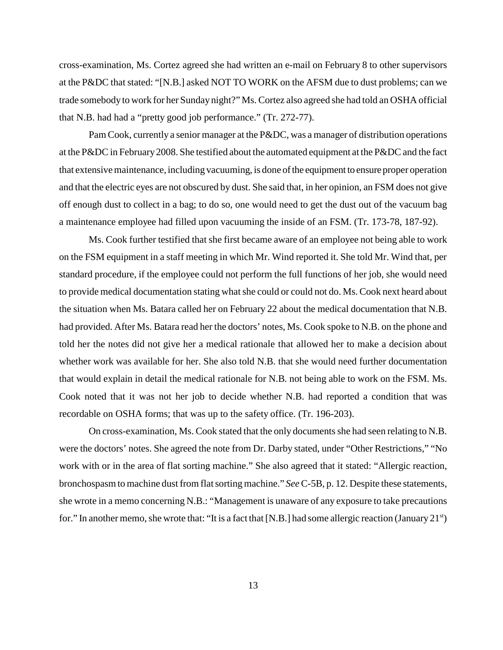cross-examination, Ms. Cortez agreed she had written an e-mail on February 8 to other supervisors at the P&DC that stated: "[N.B.] asked NOT TO WORK on the AFSM due to dust problems; can we trade somebody to work for her Sunday night?" Ms. Cortez also agreed she had told an OSHA official that N.B. had had a "pretty good job performance." (Tr. 272-77).

Pam Cook, currently a senior manager at the P&DC, was a manager of distribution operations at the P&DC in February2008. She testified about the automated equipment at the P&DC and the fact that extensive maintenance, including vacuuming, is done of the equipment to ensure proper operation and that the electric eyes are not obscured by dust. She said that, in her opinion, an FSM does not give off enough dust to collect in a bag; to do so, one would need to get the dust out of the vacuum bag a maintenance employee had filled upon vacuuming the inside of an FSM. (Tr. 173-78, 187-92).

Ms. Cook further testified that she first became aware of an employee not being able to work on the FSM equipment in a staff meeting in which Mr. Wind reported it. She told Mr. Wind that, per standard procedure, if the employee could not perform the full functions of her job, she would need to provide medical documentation stating what she could or could not do. Ms. Cook next heard about the situation when Ms. Batara called her on February 22 about the medical documentation that N.B. had provided. After Ms. Batara read her the doctors' notes, Ms. Cook spoke to N.B. on the phone and told her the notes did not give her a medical rationale that allowed her to make a decision about whether work was available for her. She also told N.B. that she would need further documentation that would explain in detail the medical rationale for N.B. not being able to work on the FSM. Ms. Cook noted that it was not her job to decide whether N.B. had reported a condition that was recordable on OSHA forms; that was up to the safety office. (Tr. 196-203).

On cross-examination, Ms. Cook stated that the only documents she had seen relating to N.B. were the doctors' notes. She agreed the note from Dr. Darby stated, under "Other Restrictions," "No work with or in the area of flat sorting machine." She also agreed that it stated: "Allergic reaction, bronchospasm to machine dust from flat sorting machine." *See*C-5B, p. 12. Despite these statements, she wrote in a memo concerning N.B.: "Management is unaware of any exposure to take precautions for." In another memo, she wrote that: "It is a fact that [N.B.] had some allergic reaction (January 21st)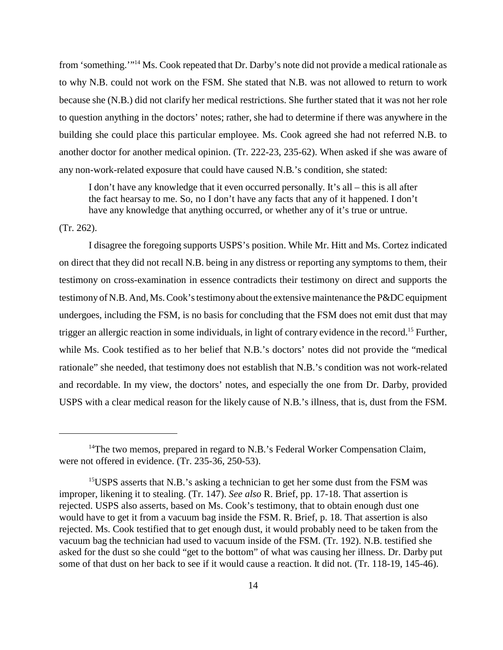from 'something.'"<sup>14</sup> Ms. Cook repeated that Dr. Darby's note did not provide a medical rationale as to why N.B. could not work on the FSM. She stated that N.B. was not allowed to return to work because she (N.B.) did not clarify her medical restrictions. She further stated that it was not her role to question anything in the doctors' notes; rather, she had to determine if there was anywhere in the building she could place this particular employee. Ms. Cook agreed she had not referred N.B. to another doctor for another medical opinion. (Tr. 222-23, 235-62). When asked if she was aware of any non-work-related exposure that could have caused N.B.'s condition, she stated:

I don't have any knowledge that it even occurred personally. It's all – this is all after the fact hearsay to me. So, no I don't have any facts that any of it happened. I don't have any knowledge that anything occurred, or whether any of it's true or untrue.

#### (Tr. 262).

I disagree the foregoing supports USPS's position. While Mr. Hitt and Ms. Cortez indicated on direct that they did not recall N.B. being in any distress or reporting any symptoms to them, their testimony on cross-examination in essence contradicts their testimony on direct and supports the testimony of N.B. And, Ms. Cook's testimonyabout the extensive maintenance the P&DC equipment undergoes, including the FSM, is no basis for concluding that the FSM does not emit dust that may trigger an allergic reaction in some individuals, in light of contrary evidence in the record.<sup>15</sup> Further, while Ms. Cook testified as to her belief that N.B.'s doctors' notes did not provide the "medical rationale" she needed, that testimony does not establish that N.B.'s condition was not work-related and recordable. In my view, the doctors' notes, and especially the one from Dr. Darby, provided USPS with a clear medical reason for the likely cause of N.B.'s illness, that is, dust from the FSM.

<sup>&</sup>lt;sup>14</sup>The two memos, prepared in regard to N.B.'s Federal Worker Compensation Claim, were not offered in evidence. (Tr. 235-36, 250-53).

<sup>&</sup>lt;sup>15</sup>USPS asserts that N.B.'s asking a technician to get her some dust from the FSM was improper, likening it to stealing. (Tr. 147). *See also* R. Brief, pp. 17-18. That assertion is rejected. USPS also asserts, based on Ms. Cook's testimony, that to obtain enough dust one would have to get it from a vacuum bag inside the FSM. R. Brief, p. 18. That assertion is also rejected. Ms. Cook testified that to get enough dust, it would probably need to be taken from the vacuum bag the technician had used to vacuum inside of the FSM. (Tr. 192). N.B. testified she asked for the dust so she could "get to the bottom" of what was causing her illness. Dr. Darby put some of that dust on her back to see if it would cause a reaction. It did not. (Tr. 118-19, 145-46).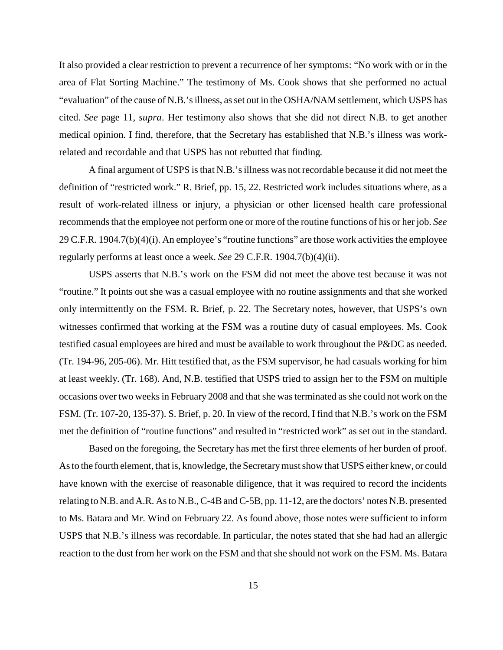It also provided a clear restriction to prevent a recurrence of her symptoms: "No work with or in the area of Flat Sorting Machine." The testimony of Ms. Cook shows that she performed no actual "evaluation" of the cause of N.B.'s illness, as set out in the OSHA/NAM settlement, which USPS has cited. *See* page 11, *supra*. Her testimony also shows that she did not direct N.B. to get another medical opinion. I find, therefore, that the Secretary has established that N.B.'s illness was workrelated and recordable and that USPS has not rebutted that finding.

A final argument of USPS is that N.B.'s illness was not recordable because it did not meet the definition of "restricted work." R. Brief, pp. 15, 22. Restricted work includes situations where, as a result of work-related illness or injury, a physician or other licensed health care professional recommends that the employee not perform one or more of the routine functions of his or her job. *See* 29 C.F.R. 1904.7(b)(4)(i). An employee's "routine functions" are those work activities the employee regularly performs at least once a week. *See* 29 C.F.R. 1904.7(b)(4)(ii).

USPS asserts that N.B.'s work on the FSM did not meet the above test because it was not "routine." It points out she was a casual employee with no routine assignments and that she worked only intermittently on the FSM. R. Brief, p. 22. The Secretary notes, however, that USPS's own witnesses confirmed that working at the FSM was a routine duty of casual employees. Ms. Cook testified casual employees are hired and must be available to work throughout the P&DC as needed. (Tr. 194-96, 205-06). Mr. Hitt testified that, as the FSM supervisor, he had casuals working for him at least weekly. (Tr. 168). And, N.B. testified that USPS tried to assign her to the FSM on multiple occasions over two weeks in February 2008 and that she was terminated as she could not work on the FSM. (Tr. 107-20, 135-37). S. Brief, p. 20. In view of the record, I find that N.B.'s work on the FSM met the definition of "routine functions" and resulted in "restricted work" as set out in the standard.

Based on the foregoing, the Secretary has met the first three elements of her burden of proof. As to the fourth element, that is, knowledge, the Secretary must show that USPS either knew, or could have known with the exercise of reasonable diligence, that it was required to record the incidents relating to N.B. and A.R. As to N.B., C-4Band C-5B, pp. 11-12, are the doctors' notes N.B. presented to Ms. Batara and Mr. Wind on February 22. As found above, those notes were sufficient to inform USPS that N.B.'s illness was recordable. In particular, the notes stated that she had had an allergic reaction to the dust from her work on the FSM and that she should not work on the FSM. Ms. Batara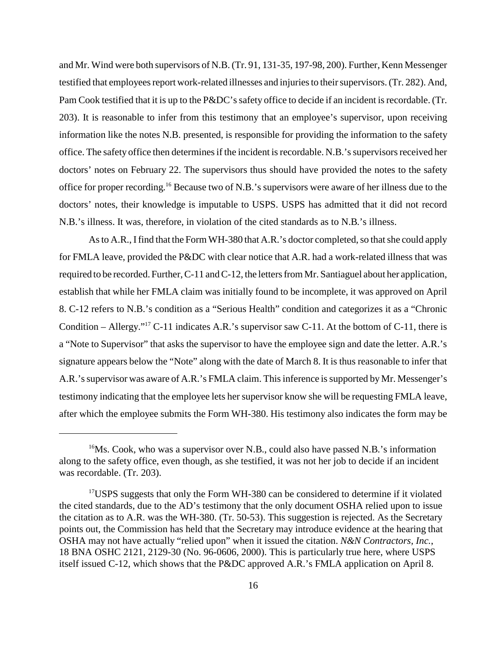and Mr. Wind were both supervisors of N.B. (Tr. 91, 131-35, 197-98, 200). Further, Kenn Messenger testified that employees report work-related illnesses and injuries to their supervisors. (Tr. 282). And, Pam Cook testified that it is up to the P&DC's safety office to decide if an incident is recordable. (Tr. 203). It is reasonable to infer from this testimony that an employee's supervisor, upon receiving information like the notes N.B. presented, is responsible for providing the information to the safety office. The safety office then determines if the incident is recordable. N.B.'s supervisors received her doctors' notes on February 22. The supervisors thus should have provided the notes to the safety office for proper recording.<sup>16</sup> Because two of N.B.'s supervisors were aware of her illness due to the doctors' notes, their knowledge is imputable to USPS. USPS has admitted that it did not record N.B.'s illness. It was, therefore, in violation of the cited standards as to N.B.'s illness.

As to A.R., Ifind that the Form WH-380 that A.R.'s doctor completed, so that she could apply for FMLA leave, provided the P&DC with clear notice that A.R. had a work-related illness that was required to be recorded. Further, C-11 and C-12, the letters from Mr. Santiaguel about her application, establish that while her FMLA claim was initially found to be incomplete, it was approved on April 8. C-12 refers to N.B.'s condition as a "Serious Health" condition and categorizes it as a "Chronic Condition – Allergy."<sup>17</sup> C-11 indicates A.R.'s supervisor saw C-11. At the bottom of C-11, there is a "Note to Supervisor" that asks the supervisor to have the employee sign and date the letter. A.R.'s signature appears below the "Note" along with the date of March 8. It is thus reasonable to infer that A.R.'s supervisor was aware of A.R.'s FMLA claim. This inference is supported by Mr. Messenger's testimony indicating that the employee lets her supervisor know she will be requesting FMLA leave, after which the employee submits the Form WH-380. His testimony also indicates the form may be

 $16$ Ms. Cook, who was a supervisor over N.B., could also have passed N.B.'s information along to the safety office, even though, as she testified, it was not her job to decide if an incident was recordable. (Tr. 203).

<sup>&</sup>lt;sup>17</sup>USPS suggests that only the Form WH-380 can be considered to determine if it violated the cited standards, due to the AD's testimony that the only document OSHA relied upon to issue the citation as to A.R. was the WH-380. (Tr. 50-53). This suggestion is rejected. As the Secretary points out, the Commission has held that the Secretary may introduce evidence at the hearing that OSHA may not have actually "relied upon" when it issued the citation. *N&N Contractors, Inc.*, 18 BNA OSHC 2121, 2129-30 (No. 96-0606, 2000). This is particularly true here, where USPS itself issued C-12, which shows that the P&DC approved A.R.'s FMLA application on April 8.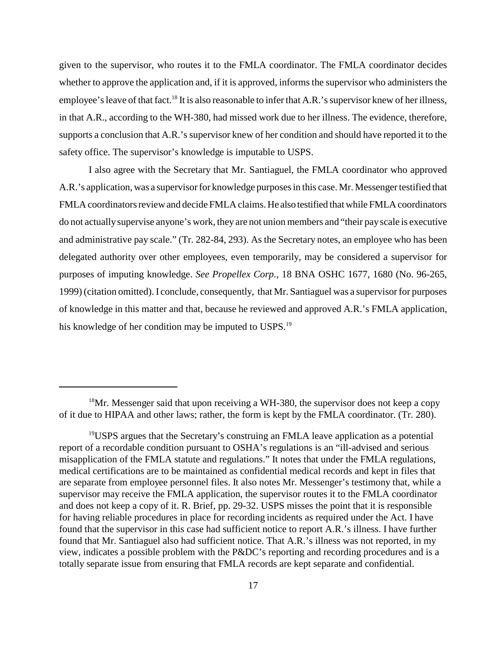given to the supervisor, who routes it to the FMLA coordinator. The FMLA coordinator decides whether to approve the application and, if it is approved, informs the supervisor who administers the employee's leave of that fact.<sup>18</sup> It is also reasonable to infer that A.R.'s supervisor knew of her illness, in that A.R., according to the WH-380, had missed work due to her illness. The evidence, therefore, supports a conclusion that A.R.'s supervisor knew of her condition and should have reported it to the safety office. The supervisor's knowledge is imputable to USPS.

I also agree with the Secretary that Mr. Santiaguel, the FMLA coordinator who approved A.R.'s application, was a supervisor for knowledge purposes in this case. Mr. Messenger testified that FMLA coordinators review and decide FMLA claims. He also testified that while FMLA coordinators do not actuallysupervise anyone's work, they are not union members and "their pay scale is executive and administrative pay scale." (Tr. 282-84, 293). As the Secretary notes, an employee who has been delegated authority over other employees, even temporarily, may be considered a supervisor for purposes of imputing knowledge. *See Propellex Corp.*, 18 BNA OSHC 1677, 1680 (No. 96-265, 1999) (citation omitted). I conclude, consequently, that Mr. Santiaguel was a supervisor for purposes of knowledge in this matter and that, because he reviewed and approved A.R.'s FMLA application, his knowledge of her condition may be imputed to USPS.<sup>19</sup>

 $18$ Mr. Messenger said that upon receiving a WH-380, the supervisor does not keep a copy of it due to HIPAA and other laws; rather, the form is kept by the FMLA coordinator. (Tr. 280).

<sup>&</sup>lt;sup>19</sup>USPS argues that the Secretary's construing an FMLA leave application as a potential report of a recordable condition pursuant to OSHA's regulations is an "ill-advised and serious misapplication of the FMLA statute and regulations." It notes that under the FMLA regulations, medical certifications are to be maintained as confidential medical records and kept in files that are separate from employee personnel files. It also notes Mr. Messenger's testimony that, while a supervisor may receive the FMLA application, the supervisor routes it to the FMLA coordinator and does not keep a copy of it. R. Brief, pp. 29-32. USPS misses the point that it is responsible for having reliable procedures in place for recording incidents as required under the Act. I have found that the supervisor in this case had sufficient notice to report A.R.'s illness. I have further found that Mr. Santiaguel also had sufficient notice. That A.R.'s illness was not reported, in my view, indicates a possible problem with the P&DC's reporting and recording procedures and is a totally separate issue from ensuring that FMLA records are kept separate and confidential.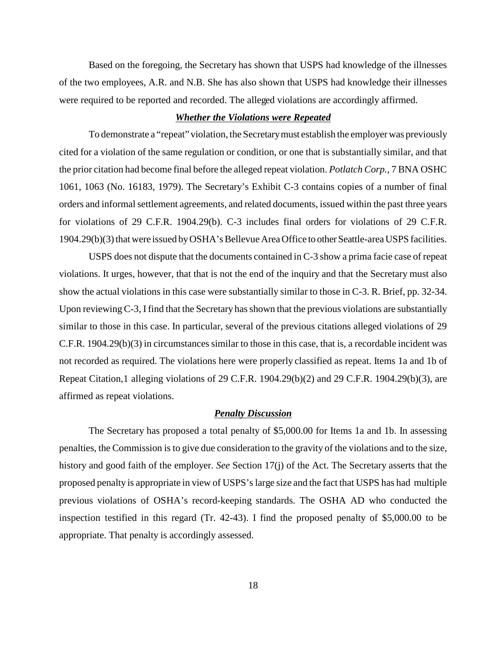Based on the foregoing, the Secretary has shown that USPS had knowledge of the illnesses of the two employees, A.R. and N.B. She has also shown that USPS had knowledge their illnesses were required to be reported and recorded. The alleged violations are accordingly affirmed.

#### *Whether the Violations were Repeated*

To demonstrate a "repeat" violation, the Secretarymust establish the employer was previously cited for a violation of the same regulation or condition, or one that is substantially similar, and that the prior citation had become final before the alleged repeat violation. *Potlatch Corp.*, 7 BNA OSHC 1061, 1063 (No. 16183, 1979). The Secretary's Exhibit C-3 contains copies of a number of final orders and informal settlement agreements, and related documents, issued within the past three years for violations of 29 C.F.R. 1904.29(b). C-3 includes final orders for violations of 29 C.F.R. 1904.29(b)(3) that were issued byOSHA's Bellevue Area Office to otherSeattle-area USPS facilities.

USPS does not dispute that the documents contained in C-3 show a prima facie case of repeat violations. It urges, however, that that is not the end of the inquiry and that the Secretary must also show the actual violations in this case were substantially similar to those in C-3. R. Brief, pp. 32-34. Upon reviewing C-3, I find that the Secretary has shown that the previous violations are substantially similar to those in this case. In particular, several of the previous citations alleged violations of 29 C.F.R. 1904.29(b)(3) in circumstances similar to those in this case, that is, a recordable incident was not recorded as required. The violations here were properly classified as repeat. Items 1a and 1b of Repeat Citation,1 alleging violations of 29 C.F.R. 1904.29(b)(2) and 29 C.F.R. 1904.29(b)(3), are affirmed as repeat violations.

#### *Penalty Discussion*

The Secretary has proposed a total penalty of \$5,000.00 for Items 1a and 1b. In assessing penalties, the Commission is to give due consideration to the gravity of the violations and to the size, history and good faith of the employer. *See* Section 17(j) of the Act. The Secretary asserts that the proposed penalty is appropriate in view of USPS's large size and the fact that USPS has had multiple previous violations of OSHA's record-keeping standards. The OSHA AD who conducted the inspection testified in this regard (Tr. 42-43). I find the proposed penalty of \$5,000.00 to be appropriate. That penalty is accordingly assessed.